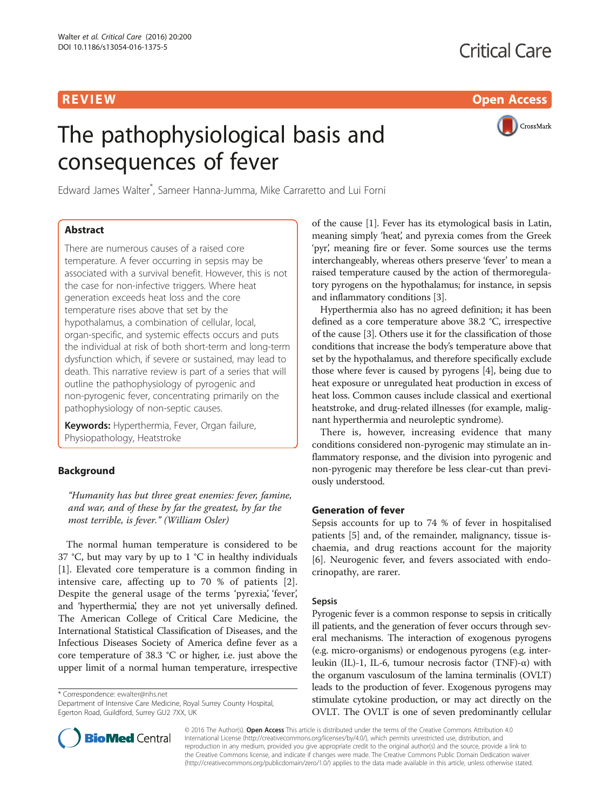R EVI EW Open Access

# The pathophysiological basis and consequences of fever



Edward James Walter\* , Sameer Hanna-Jumma, Mike Carraretto and Lui Forni

# Abstract

There are numerous causes of a raised core temperature. A fever occurring in sepsis may be associated with a survival benefit. However, this is not the case for non-infective triggers. Where heat generation exceeds heat loss and the core temperature rises above that set by the hypothalamus, a combination of cellular, local, organ-specific, and systemic effects occurs and puts the individual at risk of both short-term and long-term dysfunction which, if severe or sustained, may lead to death. This narrative review is part of a series that will outline the pathophysiology of pyrogenic and non-pyrogenic fever, concentrating primarily on the pathophysiology of non-septic causes.

Keywords: Hyperthermia, Fever, Organ failure, Physiopathology, Heatstroke

# Background

"Humanity has but three great enemies: fever, famine, and war, and of these by far the greatest, by far the most terrible, is fever." (William Osler)

The normal human temperature is considered to be 37 °C, but may vary by up to 1 °C in healthy individuals [[1\]](#page-7-0). Elevated core temperature is a common finding in intensive care, affecting up to 70 % of patients [\[2](#page-8-0)]. Despite the general usage of the terms 'pyrexia', 'fever', and 'hyperthermia', they are not yet universally defined. The American College of Critical Care Medicine, the International Statistical Classification of Diseases, and the Infectious Diseases Society of America define fever as a core temperature of 38.3 °C or higher, i.e. just above the upper limit of a normal human temperature, irrespective

\* Correspondence: [ewalter@nhs.net](mailto:ewalter@nhs.net)

Department of Intensive Care Medicine, Royal Surrey County Hospital, Egerton Road, Guildford, Surrey GU2 7XX, UK



Hyperthermia also has no agreed definition; it has been defined as a core temperature above 38.2 °C, irrespective of the cause [[3\]](#page-8-0). Others use it for the classification of those conditions that increase the body's temperature above that set by the hypothalamus, and therefore specifically exclude those where fever is caused by pyrogens [\[4](#page-8-0)], being due to heat exposure or unregulated heat production in excess of heat loss. Common causes include classical and exertional heatstroke, and drug-related illnesses (for example, malignant hyperthermia and neuroleptic syndrome).

There is, however, increasing evidence that many conditions considered non-pyrogenic may stimulate an inflammatory response, and the division into pyrogenic and non-pyrogenic may therefore be less clear-cut than previously understood.

# Generation of fever

Sepsis accounts for up to 74 % of fever in hospitalised patients [[5](#page-8-0)] and, of the remainder, malignancy, tissue ischaemia, and drug reactions account for the majority [[6\]](#page-8-0). Neurogenic fever, and fevers associated with endocrinopathy, are rarer.

### Sepsis

Pyrogenic fever is a common response to sepsis in critically ill patients, and the generation of fever occurs through several mechanisms. The interaction of exogenous pyrogens (e.g. micro-organisms) or endogenous pyrogens (e.g. interleukin (IL)-1, IL-6, tumour necrosis factor (TNF)- $\alpha$ ) with the organum vasculosum of the lamina terminalis (OVLT) leads to the production of fever. Exogenous pyrogens may stimulate cytokine production, or may act directly on the OVLT. The OVLT is one of seven predominantly cellular



© 2016 The Author(s). Open Access This article is distributed under the terms of the Creative Commons Attribution 4.0 International License [\(http://creativecommons.org/licenses/by/4.0/](http://creativecommons.org/licenses/by/4.0/)), which permits unrestricted use, distribution, and reproduction in any medium, provided you give appropriate credit to the original author(s) and the source, provide a link to the Creative Commons license, and indicate if changes were made. The Creative Commons Public Domain Dedication waiver [\(http://creativecommons.org/publicdomain/zero/1.0/](http://creativecommons.org/publicdomain/zero/1.0/)) applies to the data made available in this article, unless otherwise stated.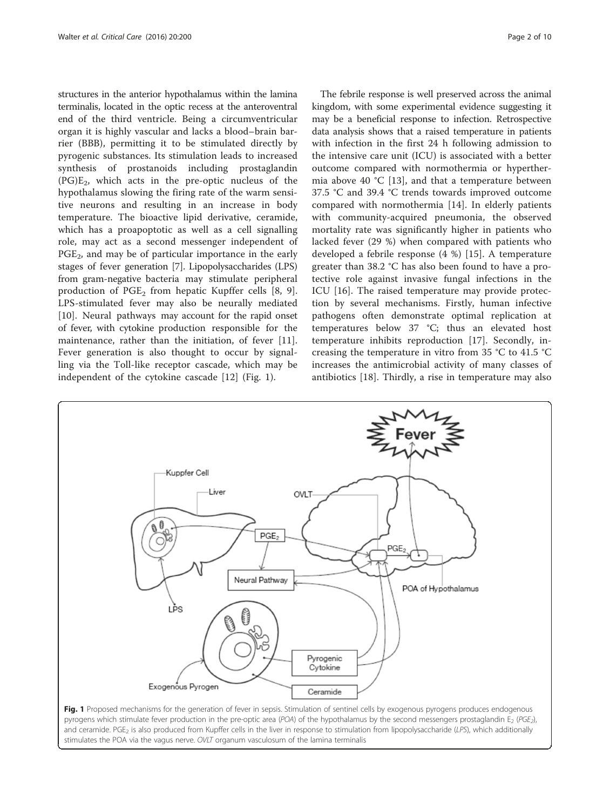structures in the anterior hypothalamus within the lamina terminalis, located in the optic recess at the anteroventral end of the third ventricle. Being a circumventricular organ it is highly vascular and lacks a blood–brain barrier (BBB), permitting it to be stimulated directly by pyrogenic substances. Its stimulation leads to increased synthesis of prostanoids including prostaglandin  $(PG)E<sub>2</sub>$ , which acts in the pre-optic nucleus of the hypothalamus slowing the firing rate of the warm sensitive neurons and resulting in an increase in body temperature. The bioactive lipid derivative, ceramide, which has a proapoptotic as well as a cell signalling role, may act as a second messenger independent of  $PGE<sub>2</sub>$ , and may be of particular importance in the early stages of fever generation [\[7\]](#page-8-0). Lipopolysaccharides (LPS) from gram-negative bacteria may stimulate peripheral production of  $PGE_2$  from hepatic Kupffer cells [\[8](#page-8-0), [9](#page-8-0)]. LPS-stimulated fever may also be neurally mediated [[10\]](#page-8-0). Neural pathways may account for the rapid onset of fever, with cytokine production responsible for the maintenance, rather than the initiation, of fever [\[11](#page-8-0)]. Fever generation is also thought to occur by signalling via the Toll-like receptor cascade, which may be independent of the cytokine cascade [[12\]](#page-8-0) (Fig. 1).

The febrile response is well preserved across the animal kingdom, with some experimental evidence suggesting it may be a beneficial response to infection. Retrospective data analysis shows that a raised temperature in patients with infection in the first 24 h following admission to the intensive care unit (ICU) is associated with a better outcome compared with normothermia or hyperthermia above 40 °C [\[13](#page-8-0)], and that a temperature between 37.5 °C and 39.4 °C trends towards improved outcome compared with normothermia [[14\]](#page-8-0). In elderly patients with community-acquired pneumonia, the observed mortality rate was significantly higher in patients who lacked fever (29 %) when compared with patients who developed a febrile response (4 %) [[15\]](#page-8-0). A temperature greater than 38.2 °C has also been found to have a protective role against invasive fungal infections in the ICU [\[16](#page-8-0)]. The raised temperature may provide protection by several mechanisms. Firstly, human infective pathogens often demonstrate optimal replication at temperatures below 37 °C; thus an elevated host temperature inhibits reproduction [[17\]](#page-8-0). Secondly, increasing the temperature in vitro from 35  $\degree$ C to 41.5  $\degree$ C increases the antimicrobial activity of many classes of antibiotics [[18\]](#page-8-0). Thirdly, a rise in temperature may also



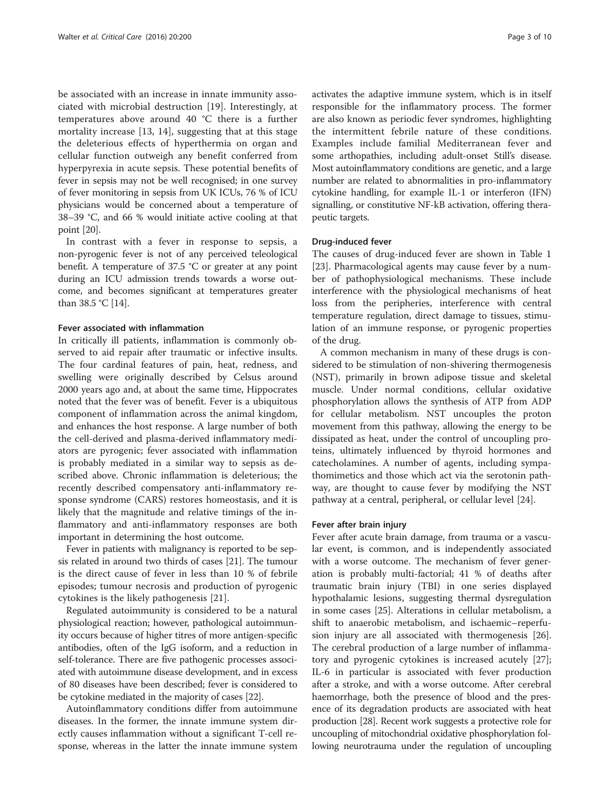be associated with an increase in innate immunity associated with microbial destruction [\[19](#page-8-0)]. Interestingly, at temperatures above around 40 °C there is a further mortality increase [[13, 14](#page-8-0)], suggesting that at this stage the deleterious effects of hyperthermia on organ and cellular function outweigh any benefit conferred from hyperpyrexia in acute sepsis. These potential benefits of fever in sepsis may not be well recognised; in one survey of fever monitoring in sepsis from UK ICUs, 76 % of ICU physicians would be concerned about a temperature of 38–39 °C, and 66 % would initiate active cooling at that point [\[20](#page-8-0)].

In contrast with a fever in response to sepsis, a non-pyrogenic fever is not of any perceived teleological benefit. A temperature of 37.5 °C or greater at any point during an ICU admission trends towards a worse outcome, and becomes significant at temperatures greater than 38.5 °C [\[14](#page-8-0)].

#### Fever associated with inflammation

In critically ill patients, inflammation is commonly observed to aid repair after traumatic or infective insults. The four cardinal features of pain, heat, redness, and swelling were originally described by Celsus around 2000 years ago and, at about the same time, Hippocrates noted that the fever was of benefit. Fever is a ubiquitous component of inflammation across the animal kingdom, and enhances the host response. A large number of both the cell-derived and plasma-derived inflammatory mediators are pyrogenic; fever associated with inflammation is probably mediated in a similar way to sepsis as described above. Chronic inflammation is deleterious; the recently described compensatory anti-inflammatory response syndrome (CARS) restores homeostasis, and it is likely that the magnitude and relative timings of the inflammatory and anti-inflammatory responses are both important in determining the host outcome.

Fever in patients with malignancy is reported to be sepsis related in around two thirds of cases [[21](#page-8-0)]. The tumour is the direct cause of fever in less than 10 % of febrile episodes; tumour necrosis and production of pyrogenic cytokines is the likely pathogenesis [[21\]](#page-8-0).

Regulated autoimmunity is considered to be a natural physiological reaction; however, pathological autoimmunity occurs because of higher titres of more antigen-specific antibodies, often of the IgG isoform, and a reduction in self-tolerance. There are five pathogenic processes associated with autoimmune disease development, and in excess of 80 diseases have been described; fever is considered to be cytokine mediated in the majority of cases [[22](#page-8-0)].

Autoinflammatory conditions differ from autoimmune diseases. In the former, the innate immune system directly causes inflammation without a significant T-cell response, whereas in the latter the innate immune system activates the adaptive immune system, which is in itself responsible for the inflammatory process. The former are also known as periodic fever syndromes, highlighting the intermittent febrile nature of these conditions. Examples include familial Mediterranean fever and some arthopathies, including adult-onset Still's disease. Most autoinflammatory conditions are genetic, and a large number are related to abnormalities in pro-inflammatory cytokine handling, for example IL-1 or interferon (IFN) signalling, or constitutive NF-kB activation, offering therapeutic targets.

#### Drug-induced fever

The causes of drug-induced fever are shown in Table [1](#page-3-0) [[23\]](#page-8-0). Pharmacological agents may cause fever by a number of pathophysiological mechanisms. These include interference with the physiological mechanisms of heat loss from the peripheries, interference with central temperature regulation, direct damage to tissues, stimulation of an immune response, or pyrogenic properties of the drug.

A common mechanism in many of these drugs is considered to be stimulation of non-shivering thermogenesis (NST), primarily in brown adipose tissue and skeletal muscle. Under normal conditions, cellular oxidative phosphorylation allows the synthesis of ATP from ADP for cellular metabolism. NST uncouples the proton movement from this pathway, allowing the energy to be dissipated as heat, under the control of uncoupling proteins, ultimately influenced by thyroid hormones and catecholamines. A number of agents, including sympathomimetics and those which act via the serotonin pathway, are thought to cause fever by modifying the NST pathway at a central, peripheral, or cellular level [\[24\]](#page-8-0).

#### Fever after brain injury

Fever after acute brain damage, from trauma or a vascular event, is common, and is independently associated with a worse outcome. The mechanism of fever generation is probably multi-factorial; 41 % of deaths after traumatic brain injury (TBI) in one series displayed hypothalamic lesions, suggesting thermal dysregulation in some cases [[25\]](#page-8-0). Alterations in cellular metabolism, a shift to anaerobic metabolism, and ischaemic–reperfusion injury are all associated with thermogenesis [\[26](#page-8-0)]. The cerebral production of a large number of inflammatory and pyrogenic cytokines is increased acutely [\[27](#page-8-0)]; IL-6 in particular is associated with fever production after a stroke, and with a worse outcome. After cerebral haemorrhage, both the presence of blood and the presence of its degradation products are associated with heat production [\[28\]](#page-8-0). Recent work suggests a protective role for uncoupling of mitochondrial oxidative phosphorylation following neurotrauma under the regulation of uncoupling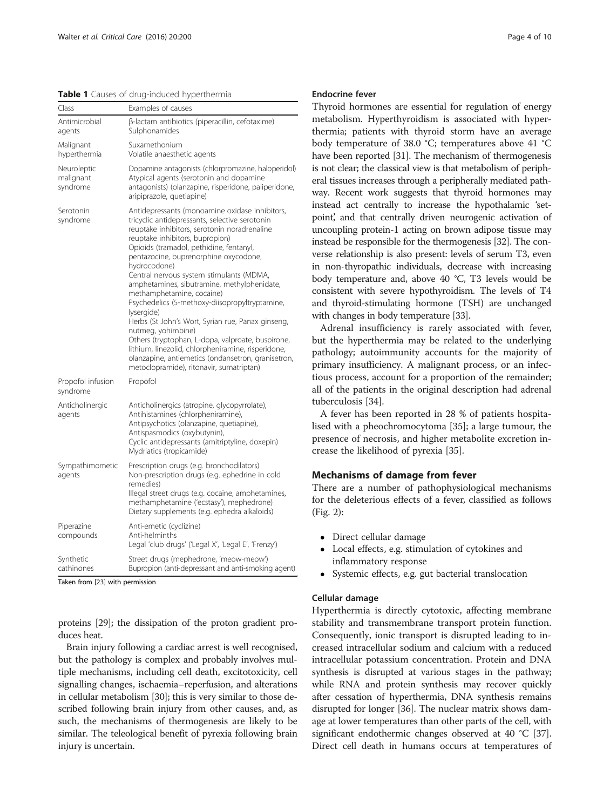<span id="page-3-0"></span>Table 1 Causes of drug-induced hyperthermia

| Class                                | Examples of causes                                                                                                                                                                                                                                                                                                                                                                                                                                                                                                                                                                                                                                                                                                                                                      |
|--------------------------------------|-------------------------------------------------------------------------------------------------------------------------------------------------------------------------------------------------------------------------------------------------------------------------------------------------------------------------------------------------------------------------------------------------------------------------------------------------------------------------------------------------------------------------------------------------------------------------------------------------------------------------------------------------------------------------------------------------------------------------------------------------------------------------|
| Antimicrobial<br>agents              | β-lactam antibiotics (piperacillin, cefotaxime)<br>Sulphonamides                                                                                                                                                                                                                                                                                                                                                                                                                                                                                                                                                                                                                                                                                                        |
| Malignant<br>hyperthermia            | Suxamethonium<br>Volatile anaesthetic agents                                                                                                                                                                                                                                                                                                                                                                                                                                                                                                                                                                                                                                                                                                                            |
| Neuroleptic<br>malignant<br>syndrome | Dopamine antagonists (chlorpromazine, haloperidol)<br>Atypical agents (serotonin and dopamine<br>antagonists) (olanzapine, risperidone, paliperidone,<br>aripiprazole, quetiapine)                                                                                                                                                                                                                                                                                                                                                                                                                                                                                                                                                                                      |
| Serotonin<br>syndrome                | Antidepressants (monoamine oxidase inhibitors,<br>tricyclic antidepressants, selective serotonin<br>reuptake inhibitors, serotonin noradrenaline<br>reuptake inhibitors, bupropion)<br>Opioids (tramadol, pethidine, fentanyl,<br>pentazocine, buprenorphine oxycodone,<br>hydrocodone)<br>Central nervous system stimulants (MDMA,<br>amphetamines, sibutramine, methylphenidate,<br>methamphetamine, cocaine)<br>Psychedelics (5-methoxy-diisopropyltryptamine,<br>lysergide)<br>Herbs (St John's Wort, Syrian rue, Panax ginseng,<br>nutmeg, yohimbine)<br>Others (tryptophan, L-dopa, valproate, buspirone,<br>lithium, linezolid, chlorpheniramine, risperidone,<br>olanzapine, antiemetics (ondansetron, granisetron,<br>metoclopramide), ritonavir, sumatriptan) |
| Propofol infusion<br>syndrome        | Propofol                                                                                                                                                                                                                                                                                                                                                                                                                                                                                                                                                                                                                                                                                                                                                                |
| Anticholinergic<br>agents            | Anticholinergics (atropine, glycopyrrolate),<br>Antihistamines (chlorpheniramine),<br>Antipsychotics (olanzapine, quetiapine),<br>Antispasmodics (oxybutynin),<br>Cyclic antidepressants (amitriptyline, doxepin)<br>Mydriatics (tropicamide)                                                                                                                                                                                                                                                                                                                                                                                                                                                                                                                           |
| Sympathimometic<br>agents            | Prescription drugs (e.g. bronchodilators)<br>Non-prescription drugs (e.g. ephedrine in cold<br>remedies)<br>Illegal street drugs (e.g. cocaine, amphetamines,<br>methamphetamine ('ecstasy'), mephedrone)<br>Dietary supplements (e.g. ephedra alkaloids)                                                                                                                                                                                                                                                                                                                                                                                                                                                                                                               |
| Piperazine<br>compounds              | Anti-emetic (cyclizine)<br>Anti-helminths<br>Legal 'club drugs' ('Legal X', 'Legal E', 'Frenzy')                                                                                                                                                                                                                                                                                                                                                                                                                                                                                                                                                                                                                                                                        |
| Synthetic<br>cathinones              | Street drugs (mephedrone, 'meow-meow')<br>Bupropion (anti-depressant and anti-smoking agent)                                                                                                                                                                                                                                                                                                                                                                                                                                                                                                                                                                                                                                                                            |

Taken from [\[23](#page-8-0)] with permission

proteins [\[29\]](#page-8-0); the dissipation of the proton gradient produces heat.

Brain injury following a cardiac arrest is well recognised, but the pathology is complex and probably involves multiple mechanisms, including cell death, excitotoxicity, cell signalling changes, ischaemia–reperfusion, and alterations in cellular metabolism [\[30\]](#page-8-0); this is very similar to those described following brain injury from other causes, and, as such, the mechanisms of thermogenesis are likely to be similar. The teleological benefit of pyrexia following brain injury is uncertain.

### Endocrine fever

Thyroid hormones are essential for regulation of energy metabolism. Hyperthyroidism is associated with hyperthermia; patients with thyroid storm have an average body temperature of 38.0 °C; temperatures above 41 °C have been reported [[31](#page-8-0)]. The mechanism of thermogenesis is not clear; the classical view is that metabolism of peripheral tissues increases through a peripherally mediated pathway. Recent work suggests that thyroid hormones may instead act centrally to increase the hypothalamic 'setpoint', and that centrally driven neurogenic activation of uncoupling protein-1 acting on brown adipose tissue may instead be responsible for the thermogenesis [\[32\]](#page-8-0). The converse relationship is also present: levels of serum T3, even in non-thyropathic individuals, decrease with increasing body temperature and, above 40 °C, T3 levels would be consistent with severe hypothyroidism. The levels of T4 and thyroid-stimulating hormone (TSH) are unchanged with changes in body temperature [\[33](#page-8-0)].

Adrenal insufficiency is rarely associated with fever, but the hyperthermia may be related to the underlying pathology; autoimmunity accounts for the majority of primary insufficiency. A malignant process, or an infectious process, account for a proportion of the remainder; all of the patients in the original description had adrenal tuberculosis [[34\]](#page-8-0).

A fever has been reported in 28 % of patients hospitalised with a pheochromocytoma [\[35](#page-8-0)]; a large tumour, the presence of necrosis, and higher metabolite excretion increase the likelihood of pyrexia [\[35](#page-8-0)].

# Mechanisms of damage from fever

There are a number of pathophysiological mechanisms for the deleterious effects of a fever, classified as follows (Fig. [2](#page-4-0)):

- Direct cellular damage
- Local effects, e.g. stimulation of cytokines and inflammatory response
- Systemic effects, e.g. gut bacterial translocation

#### Cellular damage

Hyperthermia is directly cytotoxic, affecting membrane stability and transmembrane transport protein function. Consequently, ionic transport is disrupted leading to increased intracellular sodium and calcium with a reduced intracellular potassium concentration. Protein and DNA synthesis is disrupted at various stages in the pathway; while RNA and protein synthesis may recover quickly after cessation of hyperthermia, DNA synthesis remains disrupted for longer [\[36\]](#page-8-0). The nuclear matrix shows damage at lower temperatures than other parts of the cell, with significant endothermic changes observed at 40 °C [[37](#page-8-0)]. Direct cell death in humans occurs at temperatures of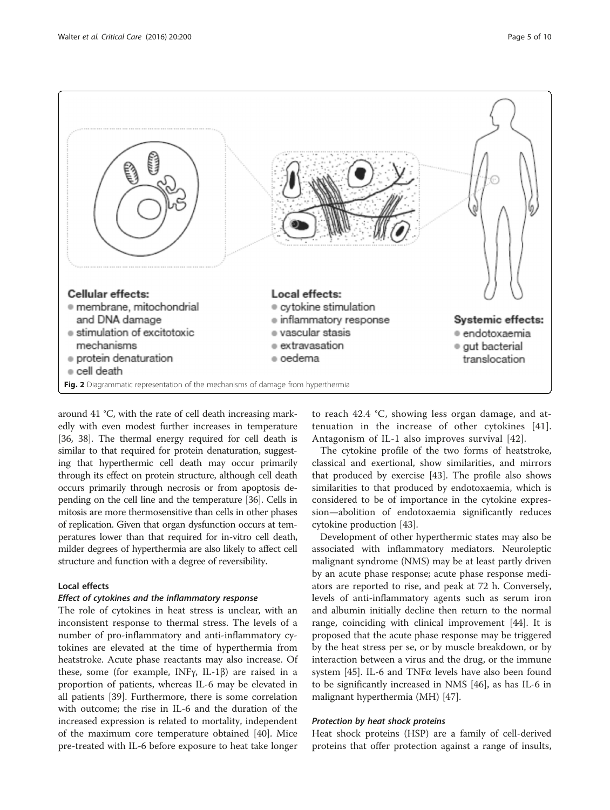<span id="page-4-0"></span>

around 41 °C, with the rate of cell death increasing markedly with even modest further increases in temperature [[36](#page-8-0), [38](#page-8-0)]. The thermal energy required for cell death is similar to that required for protein denaturation, suggesting that hyperthermic cell death may occur primarily through its effect on protein structure, although cell death occurs primarily through necrosis or from apoptosis depending on the cell line and the temperature [[36](#page-8-0)]. Cells in mitosis are more thermosensitive than cells in other phases of replication. Given that organ dysfunction occurs at temperatures lower than that required for in-vitro cell death, milder degrees of hyperthermia are also likely to affect cell structure and function with a degree of reversibility.

# Local effects

# Effect of cytokines and the inflammatory response

The role of cytokines in heat stress is unclear, with an inconsistent response to thermal stress. The levels of a number of pro-inflammatory and anti-inflammatory cytokines are elevated at the time of hyperthermia from heatstroke. Acute phase reactants may also increase. Of these, some (for example, INFγ, IL-1β) are raised in a proportion of patients, whereas IL-6 may be elevated in all patients [\[39\]](#page-8-0). Furthermore, there is some correlation with outcome; the rise in IL-6 and the duration of the increased expression is related to mortality, independent of the maximum core temperature obtained [[40\]](#page-8-0). Mice pre-treated with IL-6 before exposure to heat take longer

to reach 42.4 °C, showing less organ damage, and attenuation in the increase of other cytokines [[41](#page-8-0)]. Antagonism of IL-1 also improves survival [\[42](#page-8-0)].

The cytokine profile of the two forms of heatstroke, classical and exertional, show similarities, and mirrors that produced by exercise [\[43](#page-8-0)]. The profile also shows similarities to that produced by endotoxaemia, which is considered to be of importance in the cytokine expression—abolition of endotoxaemia significantly reduces cytokine production [\[43](#page-8-0)].

Development of other hyperthermic states may also be associated with inflammatory mediators. Neuroleptic malignant syndrome (NMS) may be at least partly driven by an acute phase response; acute phase response mediators are reported to rise, and peak at 72 h. Conversely, levels of anti-inflammatory agents such as serum iron and albumin initially decline then return to the normal range, coinciding with clinical improvement [[44\]](#page-8-0). It is proposed that the acute phase response may be triggered by the heat stress per se, or by muscle breakdown, or by interaction between a virus and the drug, or the immune system [\[45\]](#page-8-0). IL-6 and TNFα levels have also been found to be significantly increased in NMS [[46\]](#page-8-0), as has IL-6 in malignant hyperthermia (MH) [\[47](#page-8-0)].

# Protection by heat shock proteins

Heat shock proteins (HSP) are a family of cell-derived proteins that offer protection against a range of insults,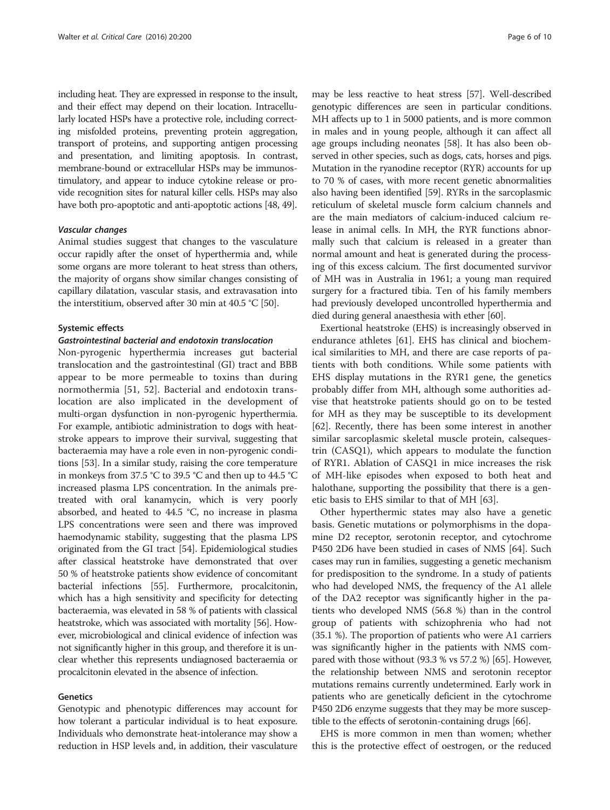including heat. They are expressed in response to the insult, and their effect may depend on their location. Intracellularly located HSPs have a protective role, including correcting misfolded proteins, preventing protein aggregation, transport of proteins, and supporting antigen processing and presentation, and limiting apoptosis. In contrast, membrane-bound or extracellular HSPs may be immunostimulatory, and appear to induce cytokine release or provide recognition sites for natural killer cells. HSPs may also have both pro-apoptotic and anti-apoptotic actions [[48, 49\]](#page-8-0).

#### Vascular changes

Animal studies suggest that changes to the vasculature occur rapidly after the onset of hyperthermia and, while some organs are more tolerant to heat stress than others, the majority of organs show similar changes consisting of capillary dilatation, vascular stasis, and extravasation into the interstitium, observed after 30 min at 40.5 °C [[50](#page-8-0)].

#### Systemic effects

#### Gastrointestinal bacterial and endotoxin translocation

Non-pyrogenic hyperthermia increases gut bacterial translocation and the gastrointestinal (GI) tract and BBB appear to be more permeable to toxins than during normothermia [\[51](#page-8-0), [52\]](#page-8-0). Bacterial and endotoxin translocation are also implicated in the development of multi-organ dysfunction in non-pyrogenic hyperthermia. For example, antibiotic administration to dogs with heatstroke appears to improve their survival, suggesting that bacteraemia may have a role even in non-pyrogenic conditions [\[53](#page-8-0)]. In a similar study, raising the core temperature in monkeys from 37.5 °C to 39.5 °C and then up to 44.5 °C increased plasma LPS concentration. In the animals pretreated with oral kanamycin, which is very poorly absorbed, and heated to 44.5 °C, no increase in plasma LPS concentrations were seen and there was improved haemodynamic stability, suggesting that the plasma LPS originated from the GI tract [[54](#page-8-0)]. Epidemiological studies after classical heatstroke have demonstrated that over 50 % of heatstroke patients show evidence of concomitant bacterial infections [\[55\]](#page-9-0). Furthermore, procalcitonin, which has a high sensitivity and specificity for detecting bacteraemia, was elevated in 58 % of patients with classical heatstroke, which was associated with mortality [[56](#page-9-0)]. However, microbiological and clinical evidence of infection was not significantly higher in this group, and therefore it is unclear whether this represents undiagnosed bacteraemia or procalcitonin elevated in the absence of infection.

# Genetics

Genotypic and phenotypic differences may account for how tolerant a particular individual is to heat exposure. Individuals who demonstrate heat-intolerance may show a reduction in HSP levels and, in addition, their vasculature

may be less reactive to heat stress [[57](#page-9-0)]. Well-described genotypic differences are seen in particular conditions. MH affects up to 1 in 5000 patients, and is more common in males and in young people, although it can affect all age groups including neonates [[58](#page-9-0)]. It has also been observed in other species, such as dogs, cats, horses and pigs. Mutation in the ryanodine receptor (RYR) accounts for up to 70 % of cases, with more recent genetic abnormalities also having been identified [\[59\]](#page-9-0). RYRs in the sarcoplasmic reticulum of skeletal muscle form calcium channels and are the main mediators of calcium-induced calcium release in animal cells. In MH, the RYR functions abnormally such that calcium is released in a greater than normal amount and heat is generated during the processing of this excess calcium. The first documented survivor of MH was in Australia in 1961; a young man required surgery for a fractured tibia. Ten of his family members had previously developed uncontrolled hyperthermia and died during general anaesthesia with ether [\[60\]](#page-9-0).

Exertional heatstroke (EHS) is increasingly observed in endurance athletes [[61](#page-9-0)]. EHS has clinical and biochemical similarities to MH, and there are case reports of patients with both conditions. While some patients with EHS display mutations in the RYR1 gene, the genetics probably differ from MH, although some authorities advise that heatstroke patients should go on to be tested for MH as they may be susceptible to its development [[62\]](#page-9-0). Recently, there has been some interest in another similar sarcoplasmic skeletal muscle protein, calsequestrin (CASQ1), which appears to modulate the function of RYR1. Ablation of CASQ1 in mice increases the risk of MH-like episodes when exposed to both heat and halothane, supporting the possibility that there is a genetic basis to EHS similar to that of MH [[63](#page-9-0)].

Other hyperthermic states may also have a genetic basis. Genetic mutations or polymorphisms in the dopamine D2 receptor, serotonin receptor, and cytochrome P450 2D6 have been studied in cases of NMS [\[64\]](#page-9-0). Such cases may run in families, suggesting a genetic mechanism for predisposition to the syndrome. In a study of patients who had developed NMS, the frequency of the A1 allele of the DA2 receptor was significantly higher in the patients who developed NMS (56.8 %) than in the control group of patients with schizophrenia who had not (35.1 %). The proportion of patients who were A1 carriers was significantly higher in the patients with NMS compared with those without (93.3 % vs 57.2 %) [[65](#page-9-0)]. However, the relationship between NMS and serotonin receptor mutations remains currently undetermined. Early work in patients who are genetically deficient in the cytochrome P450 2D6 enzyme suggests that they may be more susceptible to the effects of serotonin-containing drugs [\[66](#page-9-0)].

EHS is more common in men than women; whether this is the protective effect of oestrogen, or the reduced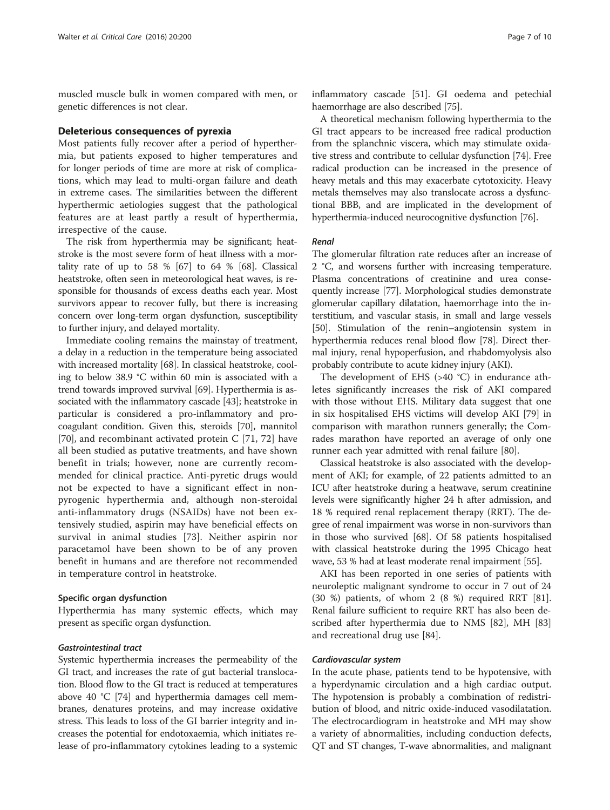muscled muscle bulk in women compared with men, or genetic differences is not clear.

#### Deleterious consequences of pyrexia

Most patients fully recover after a period of hyperthermia, but patients exposed to higher temperatures and for longer periods of time are more at risk of complications, which may lead to multi-organ failure and death in extreme cases. The similarities between the different hyperthermic aetiologies suggest that the pathological features are at least partly a result of hyperthermia, irrespective of the cause.

The risk from hyperthermia may be significant; heatstroke is the most severe form of heat illness with a mortality rate of up to 58 %  $[67]$  $[67]$  $[67]$  to 64 %  $[68]$ . Classical heatstroke, often seen in meteorological heat waves, is responsible for thousands of excess deaths each year. Most survivors appear to recover fully, but there is increasing concern over long-term organ dysfunction, susceptibility to further injury, and delayed mortality.

Immediate cooling remains the mainstay of treatment, a delay in a reduction in the temperature being associated with increased mortality [[68](#page-9-0)]. In classical heatstroke, cooling to below 38.9 °C within 60 min is associated with a trend towards improved survival [\[69\]](#page-9-0). Hyperthermia is associated with the inflammatory cascade [[43](#page-8-0)]; heatstroke in particular is considered a pro-inflammatory and procoagulant condition. Given this, steroids [[70](#page-9-0)], mannitol [[70](#page-9-0)], and recombinant activated protein C [[71, 72](#page-9-0)] have all been studied as putative treatments, and have shown benefit in trials; however, none are currently recommended for clinical practice. Anti-pyretic drugs would not be expected to have a significant effect in nonpyrogenic hyperthermia and, although non-steroidal anti-inflammatory drugs (NSAIDs) have not been extensively studied, aspirin may have beneficial effects on survival in animal studies [\[73](#page-9-0)]. Neither aspirin nor paracetamol have been shown to be of any proven benefit in humans and are therefore not recommended in temperature control in heatstroke.

# Specific organ dysfunction

Hyperthermia has many systemic effects, which may present as specific organ dysfunction.

# Gastrointestinal tract

Systemic hyperthermia increases the permeability of the GI tract, and increases the rate of gut bacterial translocation. Blood flow to the GI tract is reduced at temperatures above 40 °C [\[74\]](#page-9-0) and hyperthermia damages cell membranes, denatures proteins, and may increase oxidative stress. This leads to loss of the GI barrier integrity and increases the potential for endotoxaemia, which initiates release of pro-inflammatory cytokines leading to a systemic

inflammatory cascade [\[51\]](#page-8-0). GI oedema and petechial haemorrhage are also described [[75](#page-9-0)].

A theoretical mechanism following hyperthermia to the GI tract appears to be increased free radical production from the splanchnic viscera, which may stimulate oxidative stress and contribute to cellular dysfunction [[74](#page-9-0)]. Free radical production can be increased in the presence of heavy metals and this may exacerbate cytotoxicity. Heavy metals themselves may also translocate across a dysfunctional BBB, and are implicated in the development of hyperthermia-induced neurocognitive dysfunction [[76](#page-9-0)].

#### Renal

The glomerular filtration rate reduces after an increase of 2 °C, and worsens further with increasing temperature. Plasma concentrations of creatinine and urea consequently increase [\[77\]](#page-9-0). Morphological studies demonstrate glomerular capillary dilatation, haemorrhage into the interstitium, and vascular stasis, in small and large vessels [[50](#page-8-0)]. Stimulation of the renin–angiotensin system in hyperthermia reduces renal blood flow [\[78](#page-9-0)]. Direct thermal injury, renal hypoperfusion, and rhabdomyolysis also probably contribute to acute kidney injury (AKI).

The development of EHS (>40 °C) in endurance athletes significantly increases the risk of AKI compared with those without EHS. Military data suggest that one in six hospitalised EHS victims will develop AKI [[79\]](#page-9-0) in comparison with marathon runners generally; the Comrades marathon have reported an average of only one runner each year admitted with renal failure [\[80\]](#page-9-0).

Classical heatstroke is also associated with the development of AKI; for example, of 22 patients admitted to an ICU after heatstroke during a heatwave, serum creatinine levels were significantly higher 24 h after admission, and 18 % required renal replacement therapy (RRT). The degree of renal impairment was worse in non-survivors than in those who survived [\[68](#page-9-0)]. Of 58 patients hospitalised with classical heatstroke during the 1995 Chicago heat wave, 53 % had at least moderate renal impairment [\[55](#page-9-0)].

AKI has been reported in one series of patients with neuroleptic malignant syndrome to occur in 7 out of 24 (30 %) patients, of whom 2 (8 %) required RRT [\[81](#page-9-0)]. Renal failure sufficient to require RRT has also been described after hyperthermia due to NMS [[82\]](#page-9-0), MH [[83](#page-9-0)] and recreational drug use [\[84](#page-9-0)].

#### Cardiovascular system

In the acute phase, patients tend to be hypotensive, with a hyperdynamic circulation and a high cardiac output. The hypotension is probably a combination of redistribution of blood, and nitric oxide-induced vasodilatation. The electrocardiogram in heatstroke and MH may show a variety of abnormalities, including conduction defects, QT and ST changes, T-wave abnormalities, and malignant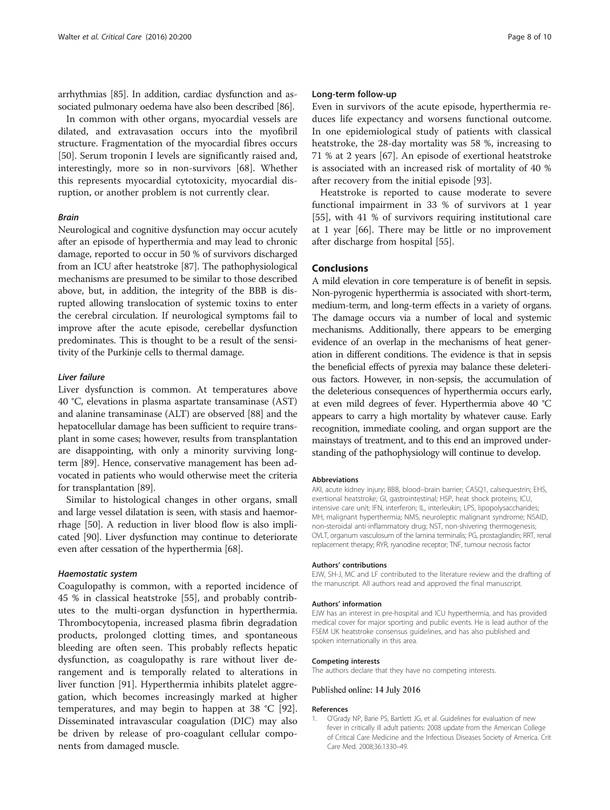<span id="page-7-0"></span>arrhythmias [[85](#page-9-0)]. In addition, cardiac dysfunction and associated pulmonary oedema have also been described [\[86\]](#page-9-0).

In common with other organs, myocardial vessels are dilated, and extravasation occurs into the myofibril structure. Fragmentation of the myocardial fibres occurs [[50\]](#page-8-0). Serum troponin I levels are significantly raised and, interestingly, more so in non-survivors [[68\]](#page-9-0). Whether this represents myocardial cytotoxicity, myocardial disruption, or another problem is not currently clear.

#### Brain

Neurological and cognitive dysfunction may occur acutely after an episode of hyperthermia and may lead to chronic damage, reported to occur in 50 % of survivors discharged from an ICU after heatstroke [[87](#page-9-0)]. The pathophysiological mechanisms are presumed to be similar to those described above, but, in addition, the integrity of the BBB is disrupted allowing translocation of systemic toxins to enter the cerebral circulation. If neurological symptoms fail to improve after the acute episode, cerebellar dysfunction predominates. This is thought to be a result of the sensitivity of the Purkinje cells to thermal damage.

#### Liver failure

Liver dysfunction is common. At temperatures above 40 °C, elevations in plasma aspartate transaminase (AST) and alanine transaminase (ALT) are observed [[88](#page-9-0)] and the hepatocellular damage has been sufficient to require transplant in some cases; however, results from transplantation are disappointing, with only a minority surviving longterm [\[89\]](#page-9-0). Hence, conservative management has been advocated in patients who would otherwise meet the criteria for transplantation [\[89\]](#page-9-0).

Similar to histological changes in other organs, small and large vessel dilatation is seen, with stasis and haemorrhage [[50](#page-8-0)]. A reduction in liver blood flow is also implicated [\[90](#page-9-0)]. Liver dysfunction may continue to deteriorate even after cessation of the hyperthermia [\[68](#page-9-0)].

#### Haemostatic system

Coagulopathy is common, with a reported incidence of 45 % in classical heatstroke [[55\]](#page-9-0), and probably contributes to the multi-organ dysfunction in hyperthermia. Thrombocytopenia, increased plasma fibrin degradation products, prolonged clotting times, and spontaneous bleeding are often seen. This probably reflects hepatic dysfunction, as coagulopathy is rare without liver derangement and is temporally related to alterations in liver function [[91\]](#page-9-0). Hyperthermia inhibits platelet aggregation, which becomes increasingly marked at higher temperatures, and may begin to happen at 38 °C [\[92](#page-9-0)]. Disseminated intravascular coagulation (DIC) may also be driven by release of pro-coagulant cellular components from damaged muscle.

#### Long-term follow-up

Even in survivors of the acute episode, hyperthermia reduces life expectancy and worsens functional outcome. In one epidemiological study of patients with classical heatstroke, the 28-day mortality was 58 %, increasing to 71 % at 2 years [[67](#page-9-0)]. An episode of exertional heatstroke is associated with an increased risk of mortality of 40 % after recovery from the initial episode [\[93](#page-9-0)].

Heatstroke is reported to cause moderate to severe functional impairment in 33 % of survivors at 1 year [[55\]](#page-9-0), with 41 % of survivors requiring institutional care at 1 year [\[66\]](#page-9-0). There may be little or no improvement after discharge from hospital [[55](#page-9-0)].

# Conclusions

A mild elevation in core temperature is of benefit in sepsis. Non-pyrogenic hyperthermia is associated with short-term, medium-term, and long-term effects in a variety of organs. The damage occurs via a number of local and systemic mechanisms. Additionally, there appears to be emerging evidence of an overlap in the mechanisms of heat generation in different conditions. The evidence is that in sepsis the beneficial effects of pyrexia may balance these deleterious factors. However, in non-sepsis, the accumulation of the deleterious consequences of hyperthermia occurs early, at even mild degrees of fever. Hyperthermia above 40 °C appears to carry a high mortality by whatever cause. Early recognition, immediate cooling, and organ support are the mainstays of treatment, and to this end an improved understanding of the pathophysiology will continue to develop.

#### Abbreviations

AKI, acute kidney injury; BBB, blood–brain barrier; CASQ1, calsequestrin; EHS, exertional heatstroke; GI, gastrointestinal; HSP, heat shock proteins; ICU, intensive care unit; IFN, interferon; IL, interleukin; LPS, lipopolysaccharides; MH, malignant hyperthermia; NMS, neuroleptic malignant syndrome; NSAID, non-steroidal anti-inflammatory drug; NST, non-shivering thermogenesis; OVLT, organum vasculosum of the lamina terminalis; PG, prostaglandin; RRT, renal replacement therapy; RYR, ryanodine receptor; TNF, tumour necrosis factor

#### Authors' contributions

EJW, SH-J, MC and LF contributed to the literature review and the drafting of the manuscript. All authors read and approved the final manuscript.

#### Authors' information

EJW has an interest in pre-hospital and ICU hyperthermia, and has provided medical cover for major sporting and public events. He is lead author of the FSEM UK heatstroke consensus guidelines, and has also published and spoken internationally in this area.

#### Competing interests

The authors declare that they have no competing interests.

#### Published online: 14 July 2016

#### References

1. O'Grady NP, Barie PS, Bartlett JG, et al. Guidelines for evaluation of new fever in critically ill adult patients: 2008 update from the American College of Critical Care Medicine and the Infectious Diseases Society of America. Crit Care Med. 2008;36:1330–49.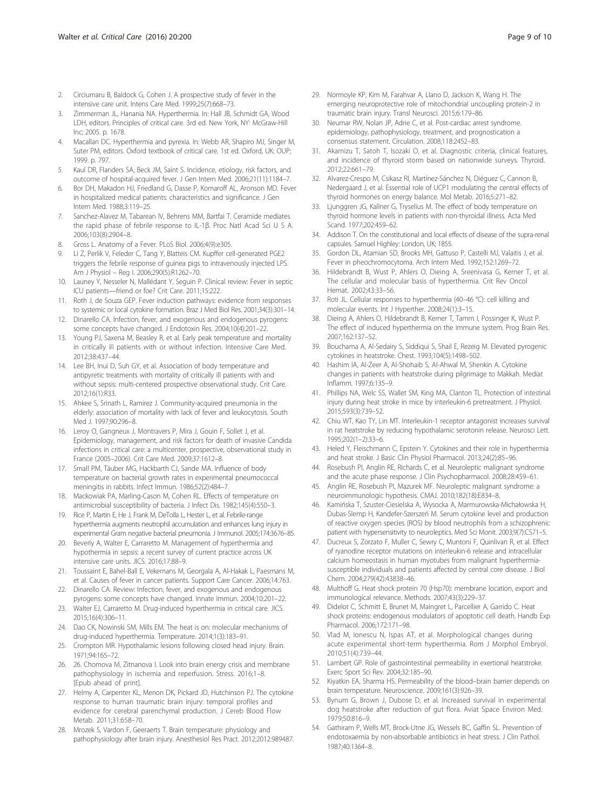- <span id="page-8-0"></span>2. Circiumaru B, Baldock G, Cohen J. A prospective study of fever in the intensive care unit. Intens Care Med. 1999;25(7):668–73.
- 3. Zimmerman JL, Hanania NA. Hyperthermia. In: Hall JB, Schmidt GA, Wood LDH, editors. Principles of critical care. 3rd ed. New York, NY: McGraw-Hill Inc; 2005. p. 1678.
- 4. Macallan DC. Hyperthermia and pyrexia. In: Webb AR, Shapiro MJ, Singer M, Suter PM, editors. Oxford textbook of critical care. 1st ed. Oxford, UK: OUP; 1999. p. 797.
- 5. Kaul DR, Flanders SA, Beck JM, Saint S. Incidence, etiology, risk factors, and outcome of hospital-acquired fever. J Gen Intern Med. 2006;21(11):1184–7.
- Bor DH, Makadon HJ, Friedland G, Dasse P, Komaroff AL, Aronson MD. Fever in hospitalized medical patients: characteristics and significance. J Gen Intern Med. 1988;3:119–25.
- 7. Sanchez-Alavez M, Tabarean IV, Behrens MM, Bartfai T. Ceramide mediates the rapid phase of febrile response to IL-1β. Proc Natl Acad Sci U S A. 2006;103(8):2904–8.
- 8. Gross L. Anatomy of a Fever. PLoS Biol. 2006;4(9):e305.
- 9. Li Z, Perlik V, Feleder C, Tang Y, Blatteis CM. Kupffer cell-generated PGE2 triggers the febrile response of guinea pigs to intravenously injected LPS. Am J Physiol – Reg I. 2006;290(5):R1262–70.
- 10. Launey Y, Nesseler N, Mallédant Y, Seguin P. Clinical review: Fever in septic ICU patients—friend or foe? Crit Care. 2011;15:222.
- 11. Roth J, de Souza GEP. Fever induction pathways: evidence from responses to systemic or local cytokine formation. Braz J Med Biol Res. 2001;34(3):301–14.
- 12. Dinarello CA. Infection, fever, and exogenous and endogenous pyrogens: some concepts have changed. J Endotoxin Res. 2004;10(4):201–22.
- 13. Young PJ, Saxena M, Beasley R, et al. Early peak temperature and mortality in critically ill patients with or without infection. Intensive Care Med. 2012;38:437–44.
- 14. Lee BH, Inui D, Suh GY, et al. Association of body temperature and antipyretic treatments with mortality of critically ill patients with and without sepsis: multi-centered prospective observational study. Crit Care. 2012;16(1):R33.
- 15. Ahkee S, Srinath L, Ramirez J. Community-acquired pneumonia in the elderly: association of mortality with lack of fever and leukocytosis. South Med 1 1997;90:296-8.
- 16. Leroy O, Gangneux J, Montravers P, Mira J, Gouin F, Sollet J, et al. Epidemiology, management, and risk factors for death of invasive Candida infections in critical care: a multicenter, prospective, observational study in France (2005–2006). Crit Care Med. 2009;37:1612–8.
- 17. Small PM, Täuber MG, Hackbarth CJ, Sande MA. Influence of body temperature on bacterial growth rates in experimental pneumococcal meningitis in rabbits. Infect Immun. 1986;52(2):484–7.
- 18. Mackowiak PA, Marling-Cason M, Cohen RL. Effects of temperature on antimicrobial susceptibility of bacteria. J Infect Dis. 1982;145(4):550–3.
- 19. Rice P, Martin E, He J, Frank M, DeTolla L, Hester L, et al. Febrile-range hyperthermia augments neutrophil accumulation and enhances lung injury in experimental Gram negative bacterial pneumonia. J Immunol. 2005;174:3676–85.
- 20. Beverly A, Walter E, Carraretto M. Management of hyperthermia and hypothermia in sepsis: a recent survey of current practice across UK intensive care units. JICS. 2016;17:88–9.
- 21. Toussaint E, Bahel-Ball E, Vekemans M, Georgala A, Al-Hakak L, Paesmans M, et al. Causes of fever in cancer patients. Support Care Cancer. 2006;14:763.
- 22. Dinarello CA. Review: Infection, fever, and exogenous and endogenous pyrogens: some concepts have changed. Innate Immun. 2004;10:201–22.
- 23. Walter EJ, Carraretto M. Drug-induced hyperthermia in critical care. JICS. 2015;16(4):306–11.
- 24. Dao CK, Nowinski SM, Mills EM. The heat is on: molecular mechanisms of drug-induced hyperthermia. Temperature. 2014;1(3):183–91.
- 25. Crompton MR. Hypothalamic lesions following closed head injury. Brain. 1971;94:165–72.
- 26. 26. Chomova M, Zitnanova I. Look into brain energy crisis and membrane pathophysiology in ischemia and reperfusion. Stress. 2016;1–8. [Epub ahead of print].
- 27. Helmy A, Carpenter KL, Menon DK, Pickard JD, Hutchinson PJ. The cytokine response to human traumatic brain injury: temporal profiles and evidence for cerebral parenchymal production. J Cereb Blood Flow Metab. 2011;31:658–70.
- 28. Mrozek S, Vardon F, Geeraerts T. Brain temperature: physiology and pathophysiology after brain injury. Anesthesiol Res Pract. 2012;2012:989487.
- 29. Normoyle KP, Kim M, Farahvar A, Llano D, Jackson K, Wang H. The emerging neuroprotective role of mitochondrial uncoupling protein-2 in traumatic brain injury. Transl Neurosci. 2015;6:179–86.
- 30. Neumar RW, Nolan JP, Adrie C, et al. Post-cardiac arrest syndrome. epidemiology, pathophysiology, treatment, and prognostication a consensus statement. Circulation. 2008;118:2452–83.
- 31. Akamizu T, Satoh T, Isozaki O, et al. Diagnostic criteria, clinical features, and incidence of thyroid storm based on nationwide surveys. Thyroid. 2012;22:661–79.
- 32. Alvarez-Crespo M, Csikasz RI, Martínez-Sánchez N, Diéguez C, Cannon B, Nedergaard J, et al. Essential role of UCP1 modulating the central effects of thyroid hormones on energy balance. Mol Metab. 2016;5:271–82.
- 33. Ljunggren JG, Kallner G, Tryselius M. The effect of body temperature on thyroid hormone levels in patients with non-thyroidal illness. Acta Med Scand. 1977;202:459–62.
- 34. Addison T. On the constitutional and local effects of disease of the supra-renal capsules. Samuel Highley: London, UK; 1855.
- 35. Gordon DL, Atamian SD, Brooks MH, Gattuso P, Castelli MJ, Valaitis J, et al. Fever in pheochromocytoma. Arch Intern Med. 1992;152:1269–72.
- 36. Hildebrandt B, Wust P, Ahlers O, Dieing A, Sreenivasa G, Kerner T, et al. The cellular and molecular basis of hyperthermia. Crit Rev Oncol Hemat. 2002;43:33–56.
- 37. Roti JL. Cellular responses to hyperthermia (40–46 °C): cell killing and molecular events. Int J Hyperther. 2008;24(1):3–15.
- Dieing A, Ahlers O, Hildebrandt B, Kerner T, Tamm I, Possinger K, Wust P. The effect of induced hyperthermia on the immune system. Prog Brain Res. 2007;162:137–52.
- 39. Bouchama A, Al-Sedairy S, Siddiqui S, Shail E, Rezeig M. Elevated pyrogenic cytokines in heatstroke. Chest. 1993;104(5):1498–502.
- 40. Hashim IA, Al-Zeer A, Al-Shohaib S, Al-Ahwal M, Shenkin A. Cytokine changes in patients with heatstroke during pilgrimage to Makkah. Mediat Inflamm. 1997;6:135–9.
- 41. Phillips NA, Welc SS, Wallet SM, King MA, Clanton TL. Protection of intestinal injury during heat stroke in mice by interleukin-6 pretreatment. J Physiol. 2015;593(3):739–52.
- 42. Chiu WT, Kao TY, Lin MT. Interleukin-1 receptor antagonist increases survival in rat heatstroke by reducing hypothalamic serotonin release. Neurosci Lett. 1995;202(1–2):33–6.
- 43. Heled Y, Fleischmann C, Epstein Y. Cytokines and their role in hyperthermia and heat stroke. J Basic Clin Physiol Pharmacol. 2013;24(2):85–96.
- 44. Rosebush PI, Anglin RE, Richards C, et al. Neuroleptic malignant syndrome and the acute phase response. J Clin Psychopharmacol. 2008;28:459–61.
- 45. Anglin RE, Rosebush PI, Mazurek MF. Neuroleptic malignant syndrome: a neuroimmunologic hypothesis. CMAJ. 2010;182(18):E834–8.
- 46. Kamińska T, Szuster-Ciesielska A, Wysocka A, Marmurowska-Michałowska H, Dubas-Slemp H, Kandefer-Szerszeń M. Serum cytokine level and production of reactive oxygen species (ROS) by blood neutrophils from a schizophrenic patient with hypersensitivity to neuroleptics. Med Sci Monit. 2003;9(7):CS71–5.
- 47. Ducreux S, Zorzato F, Muller C, Sewry C, Muntoni F, Quinlivan R, et al. Effect of ryanodine receptor mutations on interleukin-6 release and intracellular calcium homeostasis in human myotubes from malignant hyperthermiasusceptible individuals and patients affected by central core disease. J Biol Chem. 2004;279(42):43838–46.
- Multhoff G. Heat shock protein 70 (Hsp70): membrane location, export and immunological relevance. Methods. 2007;43(3):229–37.
- 49. Didelot C, Schmitt E, Brunet M, Maingret L, Parcellier A, Garrido C. Heat shock proteins: endogenous modulators of apoptotic cell death. Handb Exp Pharmacol. 2006;172:171–98.
- 50. Vlad M, Ionescu N, Ispas AT, et al. Morphological changes during acute experimental short-term hyperthermia. Rom J Morphol Embryol. 2010;51(4):739–44.
- 51. Lambert GP. Role of gastrointestinal permeability in exertional heatstroke. Exerc Sport Sci Rev. 2004;32:185–90.
- 52. Kiyatkin EA, Sharma HS. Permeability of the blood–brain barrier depends on brain temperature. Neuroscience. 2009;161(3):926–39.
- 53. Bynum G, Brown J, Dubose D, et al. Increased survival in experimental dog heatstroke after reduction of gut flora. Aviat Space Environ Med. 1979;50:816–9.
- 54. Gathiram P, Wells MT, Brock-Utne JG, Wessels BC, Gaffin SL. Prevention of endotoxaemia by non-absorbable antibiotics in heat stress. J Clin Pathol. 1987;40:1364–8.